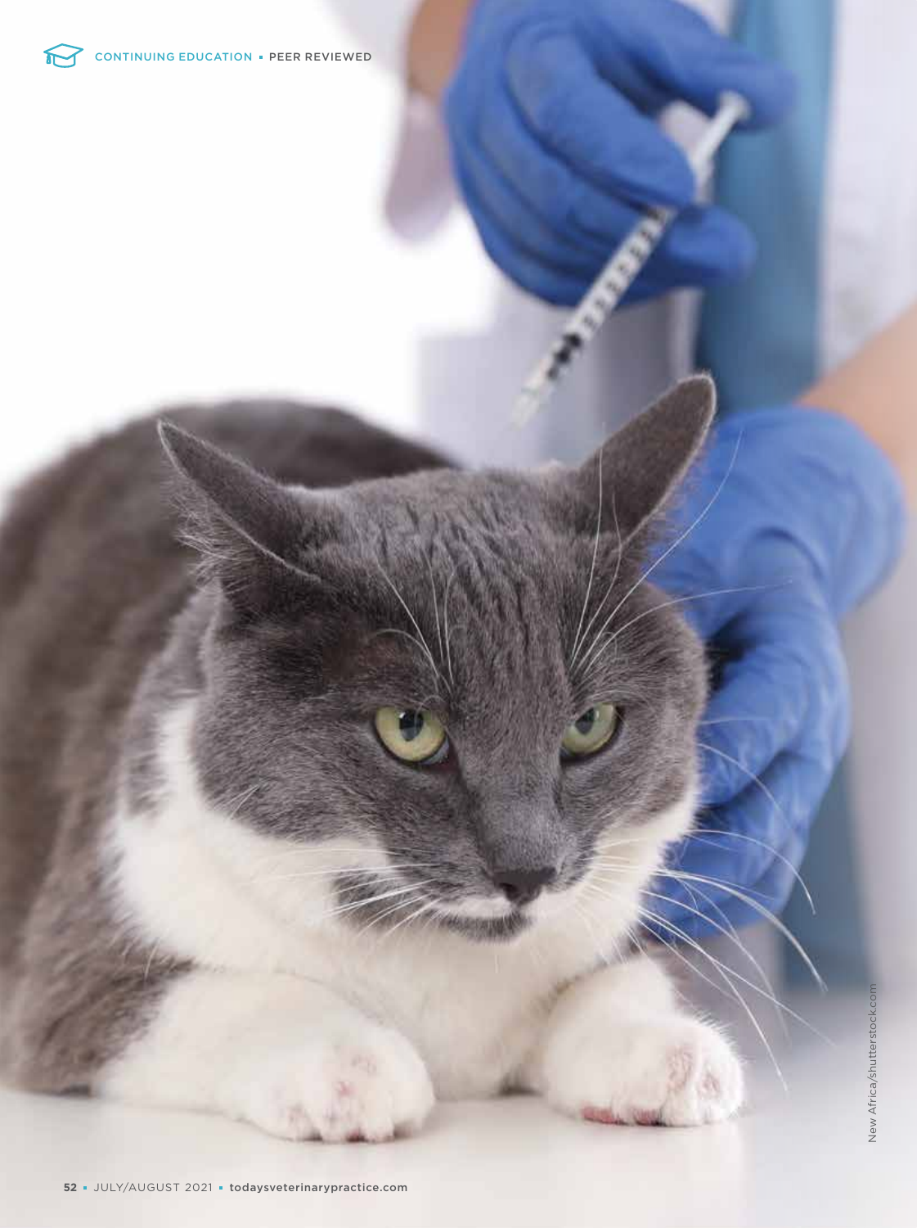

f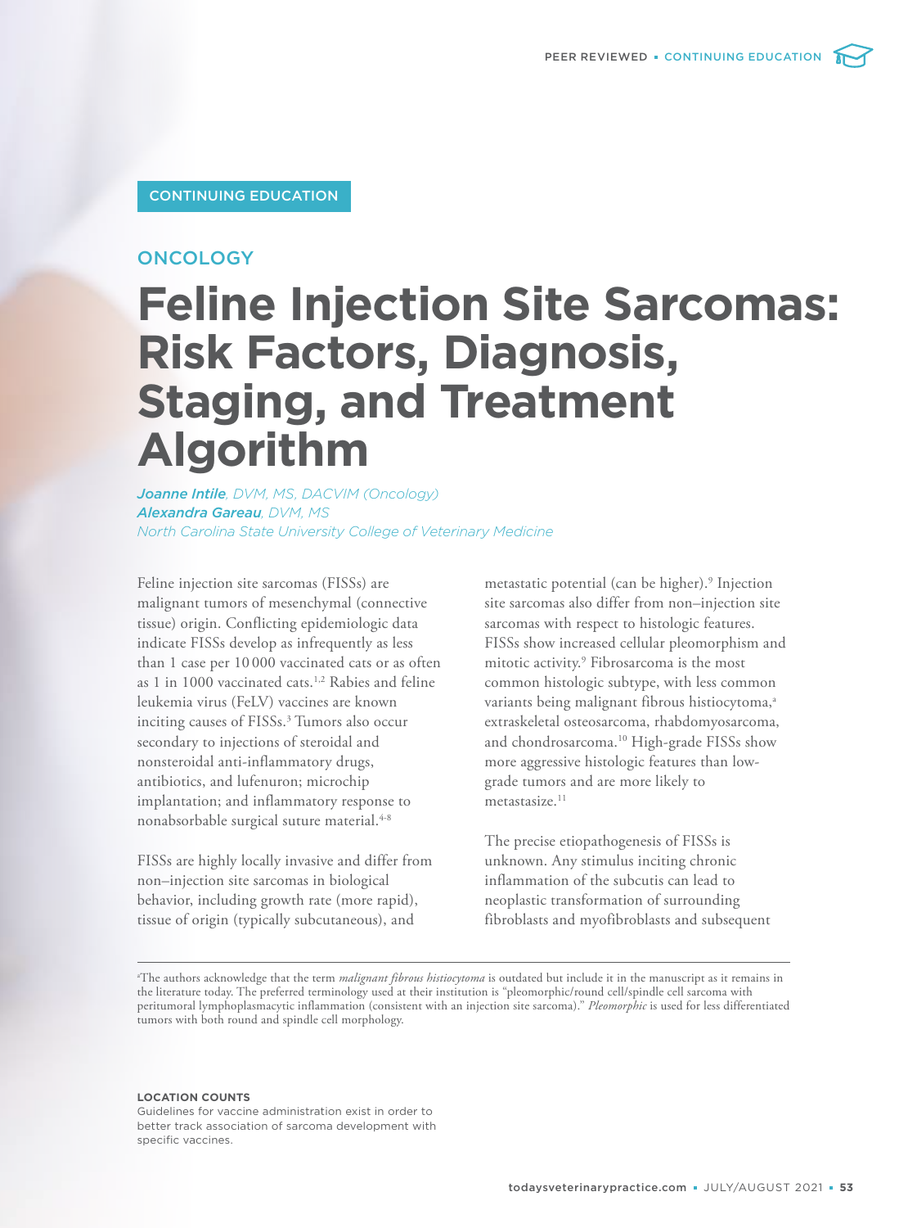# CONTINUING EDUCATION

# **ONCOLOGY**

# **Feline Injection Site Sarcomas: Risk Factors, Diagnosis, Staging, and Treatment Algorithm**

*Joanne Intile, DVM, MS, DACVIM (Oncology) Alexandra Gareau, DVM, MS North Carolina State University College of Veterinary Medicine*

Feline injection site sarcomas (FISSs) are malignant tumors of mesenchymal (connective tissue) origin. Conflicting epidemiologic data indicate FISSs develop as infrequently as less than 1 case per 10 000 vaccinated cats or as often as 1 in 1000 vaccinated cats.1,2 Rabies and feline leukemia virus (FeLV) vaccines are known inciting causes of FISSs.<sup>3</sup> Tumors also occur secondary to injections of steroidal and nonsteroidal anti-inflammatory drugs, antibiotics, and lufenuron; microchip implantation; and inflammatory response to nonabsorbable surgical suture material.<sup>4-8</sup>

FISSs are highly locally invasive and differ from non–injection site sarcomas in biological behavior, including growth rate (more rapid), tissue of origin (typically subcutaneous), and

metastatic potential (can be higher).<sup>9</sup> Injection site sarcomas also differ from non–injection site sarcomas with respect to histologic features. FISSs show increased cellular pleomorphism and mitotic activity.<sup>9</sup> Fibrosarcoma is the most common histologic subtype, with less common variants being malignant fibrous histiocytoma,<sup>a</sup> extraskeletal osteosarcoma, rhabdomyosarcoma, and chondrosarcoma.<sup>10</sup> High-grade FISSs show more aggressive histologic features than lowgrade tumors and are more likely to metastasize.<sup>11</sup>

The precise etiopathogenesis of FISSs is unknown. Any stimulus inciting chronic inflammation of the subcutis can lead to neoplastic transformation of surrounding fibroblasts and myofibroblasts and subsequent

<sup>a</sup>The authors acknowledge that the term *malignant fibrous histiocytoma* is outdated but include it in the manuscript as it remains in the literature today. The preferred terminology used at their institution is "pleomorphic/round cell/spindle cell sarcoma with peritumoral lymphoplasmacytic inflammation (consistent with an injection site sarcoma)." *Pleomorphic* is used for less differentiated tumors with both round and spindle cell morphology.

#### **LOCATION COUNTS**

Guidelines for vaccine administration exist in order to better track association of sarcoma development with specific vaccines.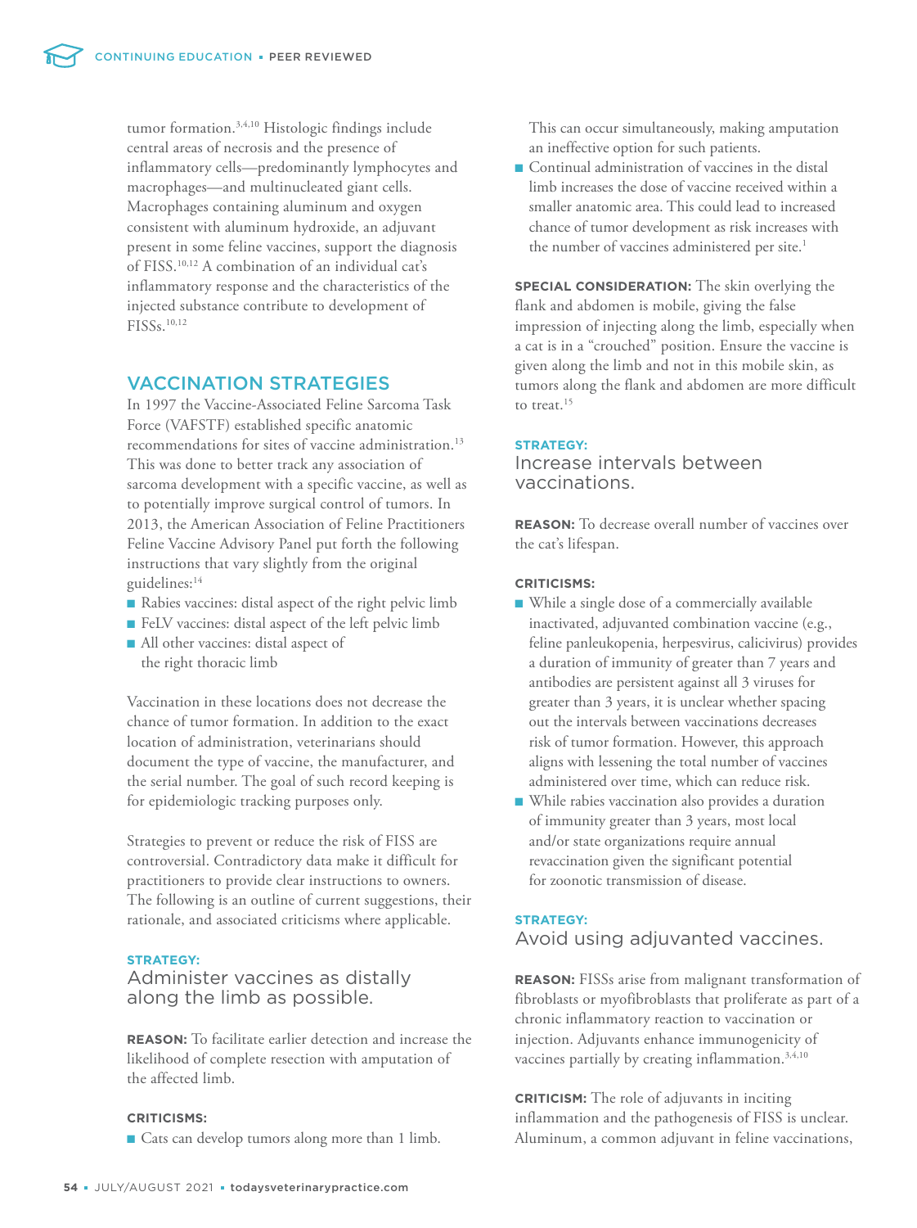tumor formation.3,4,10 Histologic findings include central areas of necrosis and the presence of inflammatory cells—predominantly lymphocytes and macrophages—and multinucleated giant cells. Macrophages containing aluminum and oxygen consistent with aluminum hydroxide, an adjuvant present in some feline vaccines, support the diagnosis of FISS.10,12 A combination of an individual cat's inflammatory response and the characteristics of the injected substance contribute to development of FISSs.10,12

# VACCINATION STRATEGIES

In 1997 the Vaccine-Associated Feline Sarcoma Task Force (VAFSTF) established specific anatomic recommendations for sites of vaccine administration.<sup>13</sup> This was done to better track any association of sarcoma development with a specific vaccine, as well as to potentially improve surgical control of tumors. In 2013, the American Association of Feline Practitioners Feline Vaccine Advisory Panel put forth the following instructions that vary slightly from the original guidelines:<sup>14</sup>

- Rabies vaccines: distal aspect of the right pelvic limb
- FeLV vaccines: distal aspect of the left pelvic limb
- All other vaccines: distal aspect of the right thoracic limb

Vaccination in these locations does not decrease the chance of tumor formation. In addition to the exact location of administration, veterinarians should document the type of vaccine, the manufacturer, and the serial number. The goal of such record keeping is for epidemiologic tracking purposes only.

Strategies to prevent or reduce the risk of FISS are controversial. Contradictory data make it difficult for practitioners to provide clear instructions to owners. The following is an outline of current suggestions, their rationale, and associated criticisms where applicable.

# **STRATEGY:**

# Administer vaccines as distally along the limb as possible.

**REASON:** To facilitate earlier detection and increase the likelihood of complete resection with amputation of the affected limb.

## **CRITICISMS:**

■ Cats can develop tumors along more than 1 limb.

This can occur simultaneously, making amputation an ineffective option for such patients.

■ Continual administration of vaccines in the distal limb increases the dose of vaccine received within a smaller anatomic area. This could lead to increased chance of tumor development as risk increases with the number of vaccines administered per site.<sup>1</sup>

**SPECIAL CONSIDERATION:** The skin overlying the flank and abdomen is mobile, giving the false impression of injecting along the limb, especially when a cat is in a "crouched" position. Ensure the vaccine is given along the limb and not in this mobile skin, as tumors along the flank and abdomen are more difficult to treat.<sup>15</sup>

#### **STRATEGY:**

Increase intervals between vaccinations.

**REASON:** To decrease overall number of vaccines over the cat's lifespan.

# **CRITICISMS:**

- While a single dose of a commercially available inactivated, adjuvanted combination vaccine (e.g., feline panleukopenia, herpesvirus, calicivirus) provides a duration of immunity of greater than 7 years and antibodies are persistent against all 3 viruses for greater than 3 years, it is unclear whether spacing out the intervals between vaccinations decreases risk of tumor formation. However, this approach aligns with lessening the total number of vaccines administered over time, which can reduce risk.
- While rabies vaccination also provides a duration of immunity greater than 3 years, most local and/or state organizations require annual revaccination given the significant potential for zoonotic transmission of disease.

# **STRATEGY:**

# Avoid using adjuvanted vaccines.

**REASON:** FISSs arise from malignant transformation of fibroblasts or myofibroblasts that proliferate as part of a chronic inflammatory reaction to vaccination or injection. Adjuvants enhance immunogenicity of vaccines partially by creating inflammation.<sup>3,4,10</sup>

**CRITICISM:** The role of adjuvants in inciting inflammation and the pathogenesis of FISS is unclear. Aluminum, a common adjuvant in feline vaccinations,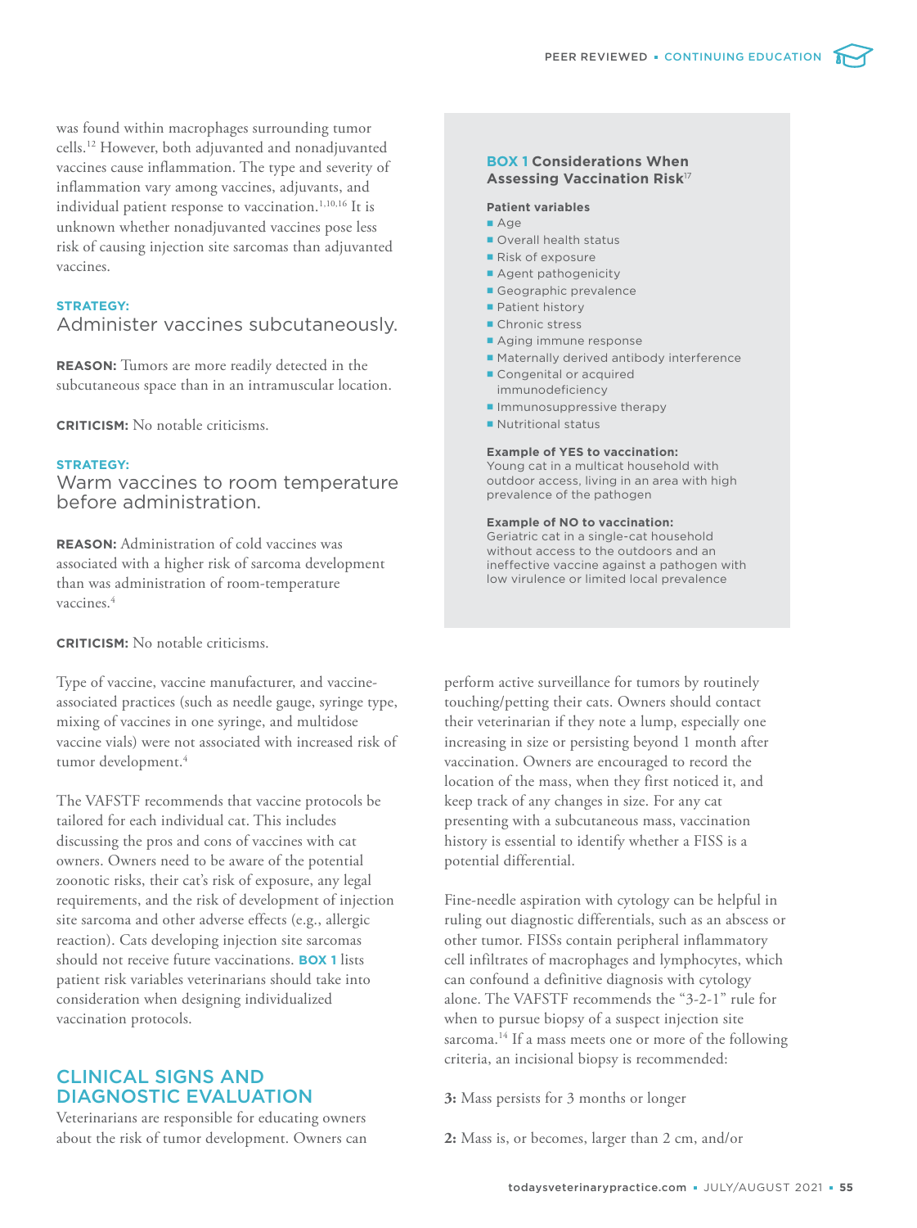was found within macrophages surrounding tumor cells.<sup>12</sup> However, both adjuvanted and nonadjuvanted vaccines cause inflammation. The type and severity of inflammation vary among vaccines, adjuvants, and individual patient response to vaccination.<sup>1,10,16</sup> It is unknown whether nonadjuvanted vaccines pose less risk of causing injection site sarcomas than adjuvanted vaccines.

### **STRATEGY:**

# Administer vaccines subcutaneously.

**REASON:** Tumors are more readily detected in the subcutaneous space than in an intramuscular location.

**CRITICISM:** No notable criticisms.

#### **STRATEGY:**

Warm vaccines to room temperature before administration.

**REASON:** Administration of cold vaccines was associated with a higher risk of sarcoma development than was administration of room-temperature vaccines.<sup>4</sup>

**CRITICISM:** No notable criticisms.

Type of vaccine, vaccine manufacturer, and vaccineassociated practices (such as needle gauge, syringe type, mixing of vaccines in one syringe, and multidose vaccine vials) were not associated with increased risk of tumor development.<sup>4</sup>

The VAFSTF recommends that vaccine protocols be tailored for each individual cat. This includes discussing the pros and cons of vaccines with cat owners. Owners need to be aware of the potential zoonotic risks, their cat's risk of exposure, any legal requirements, and the risk of development of injection site sarcoma and other adverse effects (e.g., allergic reaction). Cats developing injection site sarcomas should not receive future vaccinations. **BOX 1** lists patient risk variables veterinarians should take into consideration when designing individualized vaccination protocols.

# CLINICAL SIGNS AND DIAGNOSTIC EVALUATION

Veterinarians are responsible for educating owners about the risk of tumor development. Owners can

# **BOX 1 Considerations When Assessing Vaccination Risk**<sup>17</sup>

#### **Patient variables**

- Age
- Overall health status
- Risk of exposure
- **Agent pathogenicity**
- Geographic prevalence
- **Patient history**
- **Chronic stress**
- Aging immune response
- Maternally derived antibody interference
- Congenital or acquired immunodeficiency
- $\blacksquare$  Immunosuppressive therapy
- Nutritional status

#### **Example of YES to vaccination:**

Young cat in a multicat household with outdoor access, living in an area with high prevalence of the pathogen

#### **Example of NO to vaccination:**

Geriatric cat in a single-cat household without access to the outdoors and an ineffective vaccine against a pathogen with low virulence or limited local prevalence

perform active surveillance for tumors by routinely touching/petting their cats. Owners should contact their veterinarian if they note a lump, especially one increasing in size or persisting beyond 1 month after vaccination. Owners are encouraged to record the location of the mass, when they first noticed it, and keep track of any changes in size. For any cat presenting with a subcutaneous mass, vaccination history is essential to identify whether a FISS is a potential differential.

Fine-needle aspiration with cytology can be helpful in ruling out diagnostic differentials, such as an abscess or other tumor. FISSs contain peripheral inflammatory cell infiltrates of macrophages and lymphocytes, which can confound a definitive diagnosis with cytology alone. The VAFSTF recommends the "3-2-1" rule for when to pursue biopsy of a suspect injection site sarcoma.<sup>14</sup> If a mass meets one or more of the following criteria, an incisional biopsy is recommended:

**3:** Mass persists for 3 months or longer

**2:** Mass is, or becomes, larger than 2 cm, and/or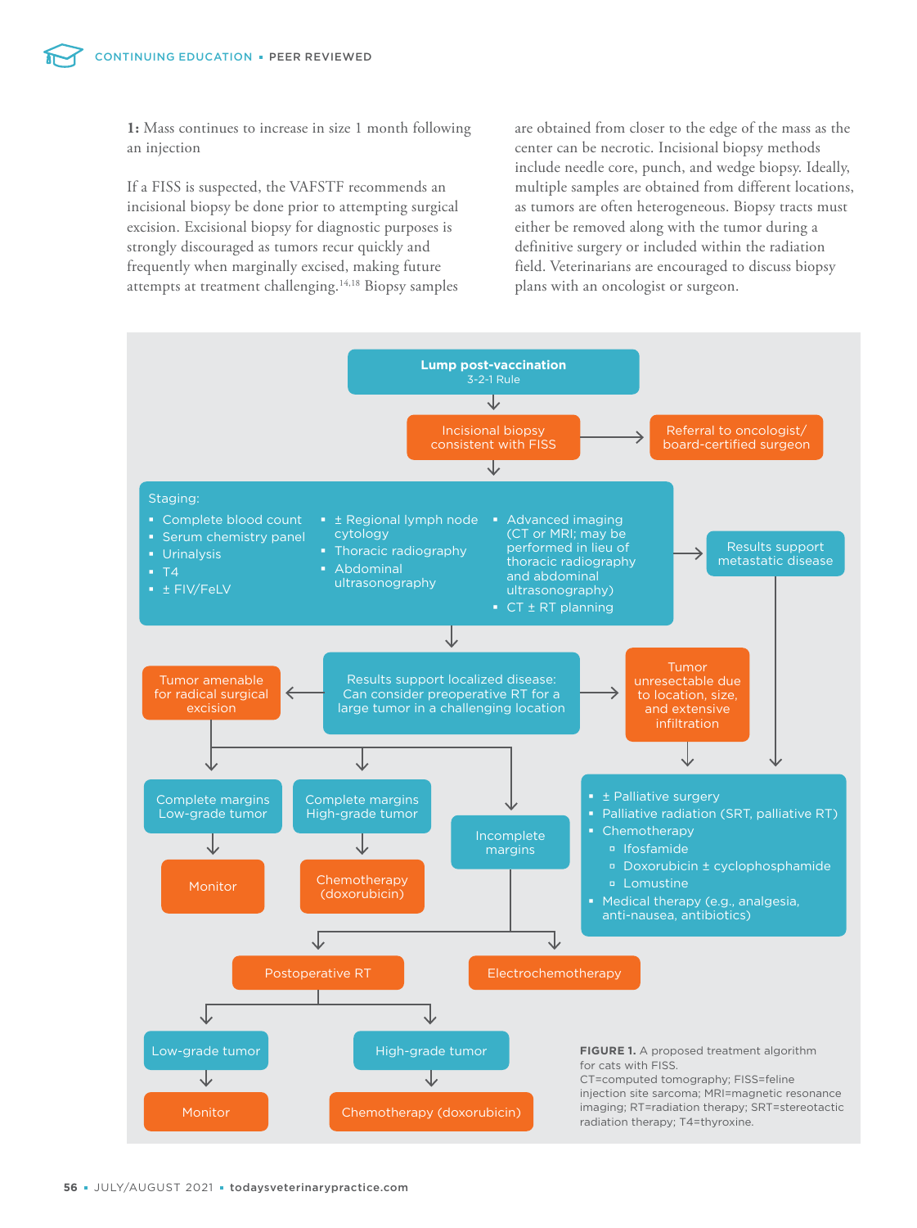**1:** Mass continues to increase in size 1 month following an injection

If a FISS is suspected, the VAFSTF recommends an incisional biopsy be done prior to attempting surgical excision. Excisional biopsy for diagnostic purposes is strongly discouraged as tumors recur quickly and frequently when marginally excised, making future attempts at treatment challenging.14,18 Biopsy samples are obtained from closer to the edge of the mass as the center can be necrotic. Incisional biopsy methods include needle core, punch, and wedge biopsy. Ideally, multiple samples are obtained from different locations, as tumors are often heterogeneous. Biopsy tracts must either be removed along with the tumor during a definitive surgery or included within the radiation field. Veterinarians are encouraged to discuss biopsy plans with an oncologist or surgeon.

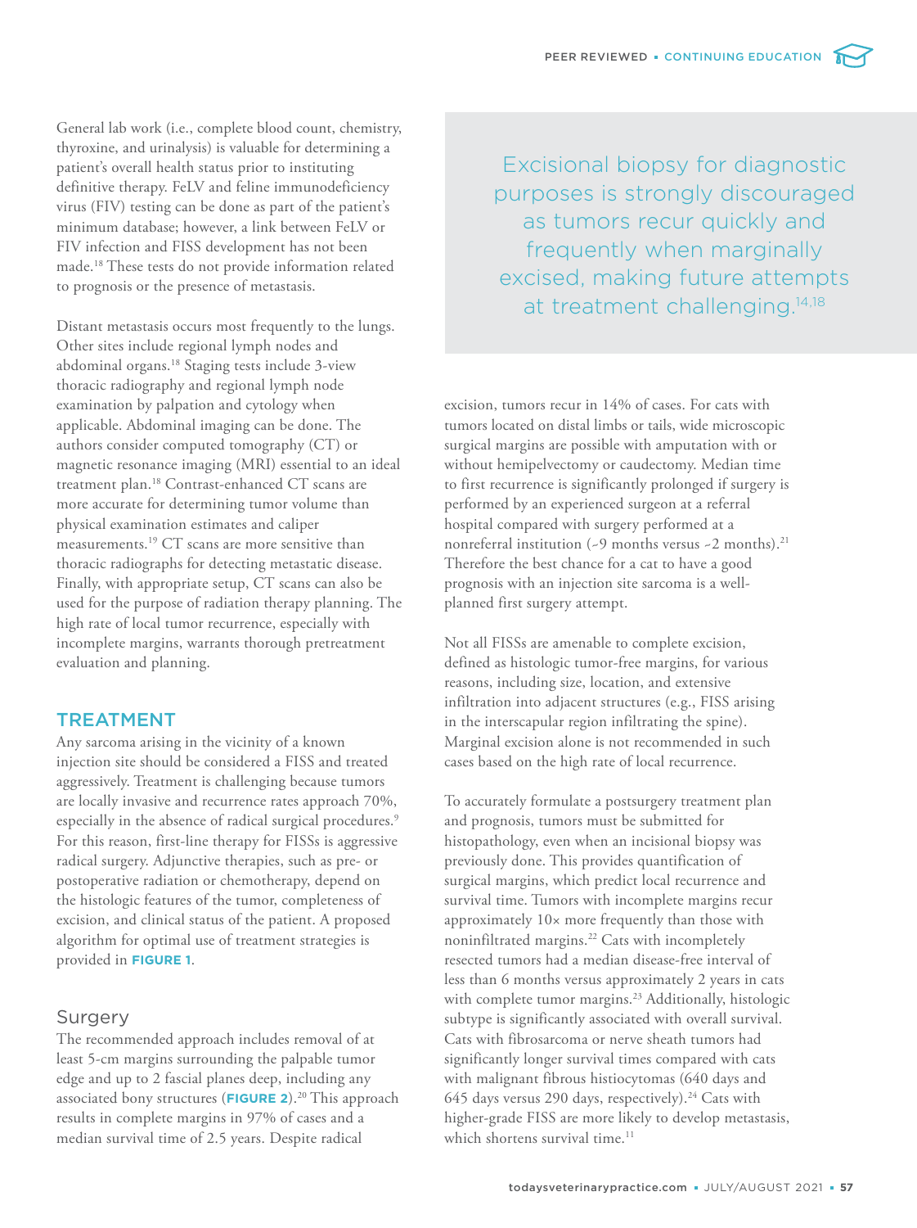General lab work (i.e., complete blood count, chemistry, thyroxine, and urinalysis) is valuable for determining a patient's overall health status prior to instituting definitive therapy. FeLV and feline immunodeficiency virus (FIV) testing can be done as part of the patient's minimum database; however, a link between FeLV or FIV infection and FISS development has not been made.<sup>18</sup> These tests do not provide information related to prognosis or the presence of metastasis.

Distant metastasis occurs most frequently to the lungs. Other sites include regional lymph nodes and abdominal organs.<sup>18</sup> Staging tests include 3-view thoracic radiography and regional lymph node examination by palpation and cytology when applicable. Abdominal imaging can be done. The authors consider computed tomography (CT) or magnetic resonance imaging (MRI) essential to an ideal treatment plan.<sup>18</sup> Contrast-enhanced CT scans are more accurate for determining tumor volume than physical examination estimates and caliper measurements.<sup>19</sup> CT scans are more sensitive than thoracic radiographs for detecting metastatic disease. Finally, with appropriate setup, CT scans can also be used for the purpose of radiation therapy planning. The high rate of local tumor recurrence, especially with incomplete margins, warrants thorough pretreatment evaluation and planning.

# TREATMENT

Any sarcoma arising in the vicinity of a known injection site should be considered a FISS and treated aggressively. Treatment is challenging because tumors are locally invasive and recurrence rates approach 70%, especially in the absence of radical surgical procedures.<sup>9</sup> For this reason, first-line therapy for FISSs is aggressive radical surgery. Adjunctive therapies, such as pre- or postoperative radiation or chemotherapy, depend on the histologic features of the tumor, completeness of excision, and clinical status of the patient. A proposed algorithm for optimal use of treatment strategies is provided in **FIGURE 1**.

# Surgery

The recommended approach includes removal of at least 5-cm margins surrounding the palpable tumor edge and up to 2 fascial planes deep, including any associated bony structures (FIGURE 2).<sup>20</sup> This approach results in complete margins in 97% of cases and a median survival time of 2.5 years. Despite radical

Excisional biopsy for diagnostic purposes is strongly discouraged as tumors recur quickly and frequently when marginally excised, making future attempts at treatment challenging.<sup>14,18</sup>

excision, tumors recur in 14% of cases. For cats with tumors located on distal limbs or tails, wide microscopic surgical margins are possible with amputation with or without hemipelvectomy or caudectomy. Median time to first recurrence is significantly prolonged if surgery is performed by an experienced surgeon at a referral hospital compared with surgery performed at a nonreferral institution (~9 months versus ~2 months).<sup>21</sup> Therefore the best chance for a cat to have a good prognosis with an injection site sarcoma is a wellplanned first surgery attempt.

Not all FISSs are amenable to complete excision, defined as histologic tumor-free margins, for various reasons, including size, location, and extensive infiltration into adjacent structures (e.g., FISS arising in the interscapular region infiltrating the spine). Marginal excision alone is not recommended in such cases based on the high rate of local recurrence.

To accurately formulate a postsurgery treatment plan and prognosis, tumors must be submitted for histopathology, even when an incisional biopsy was previously done. This provides quantification of surgical margins, which predict local recurrence and survival time. Tumors with incomplete margins recur approximately 10× more frequently than those with noninfiltrated margins.<sup>22</sup> Cats with incompletely resected tumors had a median disease-free interval of less than 6 months versus approximately 2 years in cats with complete tumor margins.<sup>23</sup> Additionally, histologic subtype is significantly associated with overall survival. Cats with fibrosarcoma or nerve sheath tumors had significantly longer survival times compared with cats with malignant fibrous histiocytomas (640 days and 645 days versus 290 days, respectively).<sup>24</sup> Cats with higher-grade FISS are more likely to develop metastasis, which shortens survival time.<sup>11</sup>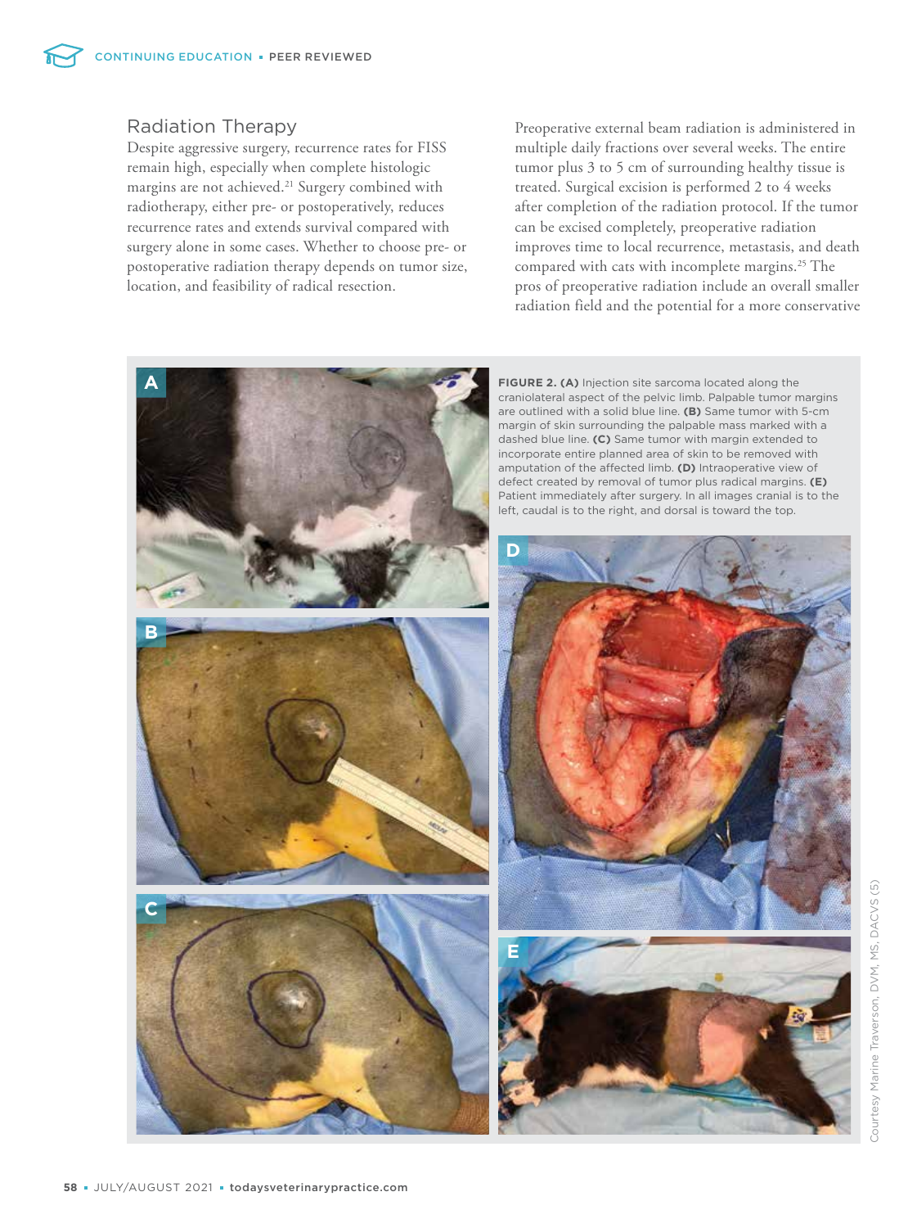# Radiation Therapy

Despite aggressive surgery, recurrence rates for FISS remain high, especially when complete histologic margins are not achieved.<sup>21</sup> Surgery combined with radiotherapy, either pre- or postoperatively, reduces recurrence rates and extends survival compared with surgery alone in some cases. Whether to choose pre- or postoperative radiation therapy depends on tumor size, location, and feasibility of radical resection.

Preoperative external beam radiation is administered in multiple daily fractions over several weeks. The entire tumor plus 3 to 5 cm of surrounding healthy tissue is treated. Surgical excision is performed 2 to 4 weeks after completion of the radiation protocol. If the tumor can be excised completely, preoperative radiation improves time to local recurrence, metastasis, and death compared with cats with incomplete margins.<sup>25</sup> The pros of preoperative radiation include an overall smaller radiation field and the potential for a more conservative

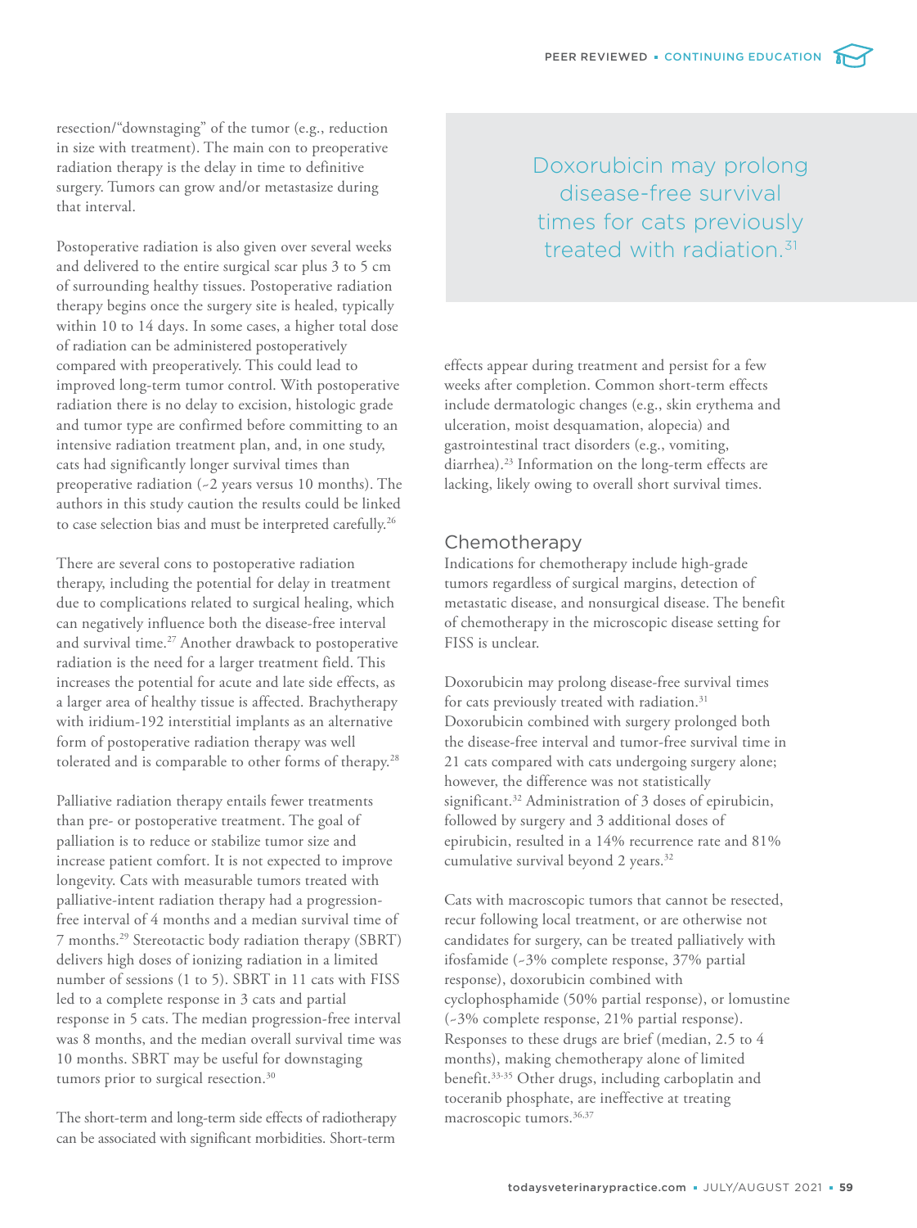resection/"downstaging" of the tumor (e.g., reduction in size with treatment). The main con to preoperative radiation therapy is the delay in time to definitive surgery. Tumors can grow and/or metastasize during that interval.

Postoperative radiation is also given over several weeks and delivered to the entire surgical scar plus 3 to 5 cm of surrounding healthy tissues. Postoperative radiation therapy begins once the surgery site is healed, typically within 10 to 14 days. In some cases, a higher total dose of radiation can be administered postoperatively compared with preoperatively. This could lead to improved long-term tumor control. With postoperative radiation there is no delay to excision, histologic grade and tumor type are confirmed before committing to an intensive radiation treatment plan, and, in one study, cats had significantly longer survival times than preoperative radiation (~2 years versus 10 months). The authors in this study caution the results could be linked to case selection bias and must be interpreted carefully.<sup>26</sup>

There are several cons to postoperative radiation therapy, including the potential for delay in treatment due to complications related to surgical healing, which can negatively influence both the disease-free interval and survival time.<sup>27</sup> Another drawback to postoperative radiation is the need for a larger treatment field. This increases the potential for acute and late side effects, as a larger area of healthy tissue is affected. Brachytherapy with iridium-192 interstitial implants as an alternative form of postoperative radiation therapy was well tolerated and is comparable to other forms of therapy.<sup>28</sup>

Palliative radiation therapy entails fewer treatments than pre- or postoperative treatment. The goal of palliation is to reduce or stabilize tumor size and increase patient comfort. It is not expected to improve longevity. Cats with measurable tumors treated with palliative-intent radiation therapy had a progressionfree interval of 4 months and a median survival time of 7 months.<sup>29</sup> Stereotactic body radiation therapy (SBRT) delivers high doses of ionizing radiation in a limited number of sessions (1 to 5). SBRT in 11 cats with FISS led to a complete response in 3 cats and partial response in 5 cats. The median progression-free interval was 8 months, and the median overall survival time was 10 months. SBRT may be useful for downstaging tumors prior to surgical resection.<sup>30</sup>

The short-term and long-term side effects of radiotherapy can be associated with significant morbidities. Short-term

Doxorubicin may prolong disease-free survival times for cats previously treated with radiation.<sup>31</sup>

effects appear during treatment and persist for a few weeks after completion. Common short-term effects include dermatologic changes (e.g., skin erythema and ulceration, moist desquamation, alopecia) and gastrointestinal tract disorders (e.g., vomiting, diarrhea).<sup>23</sup> Information on the long-term effects are lacking, likely owing to overall short survival times.

# Chemotherapy

Indications for chemotherapy include high-grade tumors regardless of surgical margins, detection of metastatic disease, and nonsurgical disease. The benefit of chemotherapy in the microscopic disease setting for FISS is unclear.

Doxorubicin may prolong disease-free survival times for cats previously treated with radiation.<sup>31</sup> Doxorubicin combined with surgery prolonged both the disease-free interval and tumor-free survival time in 21 cats compared with cats undergoing surgery alone; however, the difference was not statistically significant.<sup>32</sup> Administration of 3 doses of epirubicin, followed by surgery and 3 additional doses of epirubicin, resulted in a 14% recurrence rate and 81% cumulative survival beyond 2 years.<sup>32</sup>

Cats with macroscopic tumors that cannot be resected, recur following local treatment, or are otherwise not candidates for surgery, can be treated palliatively with ifosfamide (~3% complete response, 37% partial response), doxorubicin combined with cyclophosphamide (50% partial response), or lomustine (~3% complete response, 21% partial response). Responses to these drugs are brief (median, 2.5 to 4 months), making chemotherapy alone of limited benefit.33-35 Other drugs, including carboplatin and toceranib phosphate, are ineffective at treating macroscopic tumors.<sup>36,37</sup>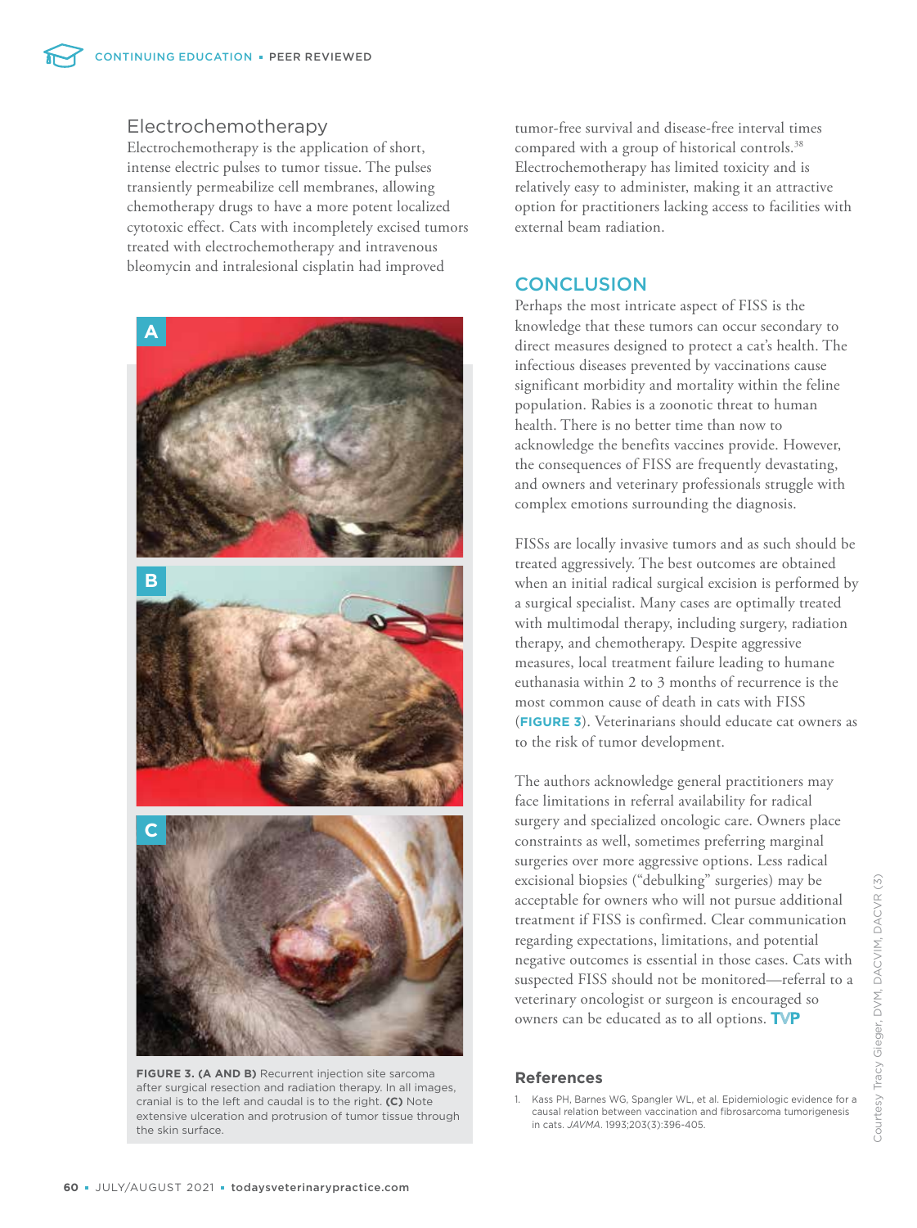# Electrochemotherapy

Electrochemotherapy is the application of short, intense electric pulses to tumor tissue. The pulses transiently permeabilize cell membranes, allowing chemotherapy drugs to have a more potent localized cytotoxic effect. Cats with incompletely excised tumors treated with electrochemotherapy and intravenous bleomycin and intralesional cisplatin had improved



**FIGURE 3. (A AND B)** Recurrent injection site sarcoma after surgical resection and radiation therapy. In all images, cranial is to the left and caudal is to the right. **(C)** Note extensive ulceration and protrusion of tumor tissue through the skin surface.

tumor-free survival and disease-free interval times compared with a group of historical controls.<sup>38</sup> Electrochemotherapy has limited toxicity and is relatively easy to administer, making it an attractive option for practitioners lacking access to facilities with external beam radiation.

# **CONCLUSION**

Perhaps the most intricate aspect of FISS is the knowledge that these tumors can occur secondary to direct measures designed to protect a cat's health. The infectious diseases prevented by vaccinations cause significant morbidity and mortality within the feline population. Rabies is a zoonotic threat to human health. There is no better time than now to acknowledge the benefits vaccines provide. However, the consequences of FISS are frequently devastating, and owners and veterinary professionals struggle with complex emotions surrounding the diagnosis.

FISSs are locally invasive tumors and as such should be treated aggressively. The best outcomes are obtained when an initial radical surgical excision is performed by a surgical specialist. Many cases are optimally treated with multimodal therapy, including surgery, radiation therapy, and chemotherapy. Despite aggressive measures, local treatment failure leading to humane euthanasia within 2 to 3 months of recurrence is the most common cause of death in cats with FISS (**FIGURE 3**). Veterinarians should educate cat owners as to the risk of tumor development.

The authors acknowledge general practitioners may face limitations in referral availability for radical surgery and specialized oncologic care. Owners place constraints as well, sometimes preferring marginal surgeries over more aggressive options. Less radical excisional biopsies ("debulking" surgeries) may be acceptable for owners who will not pursue additional treatment if FISS is confirmed. Clear communication regarding expectations, limitations, and potential negative outcomes is essential in those cases. Cats with suspected FISS should not be monitored—referral to a veterinary oncologist or surgeon is encouraged so owners can be educated as to all options. TVP

# **References**

1. Kass PH, Barnes WG, Spangler WL, et al. Epidemiologic evidence for a causal relation between vaccination and fibrosarcoma tumorigenesis in cats. *JAVMA*. 1993;203(3):396-405.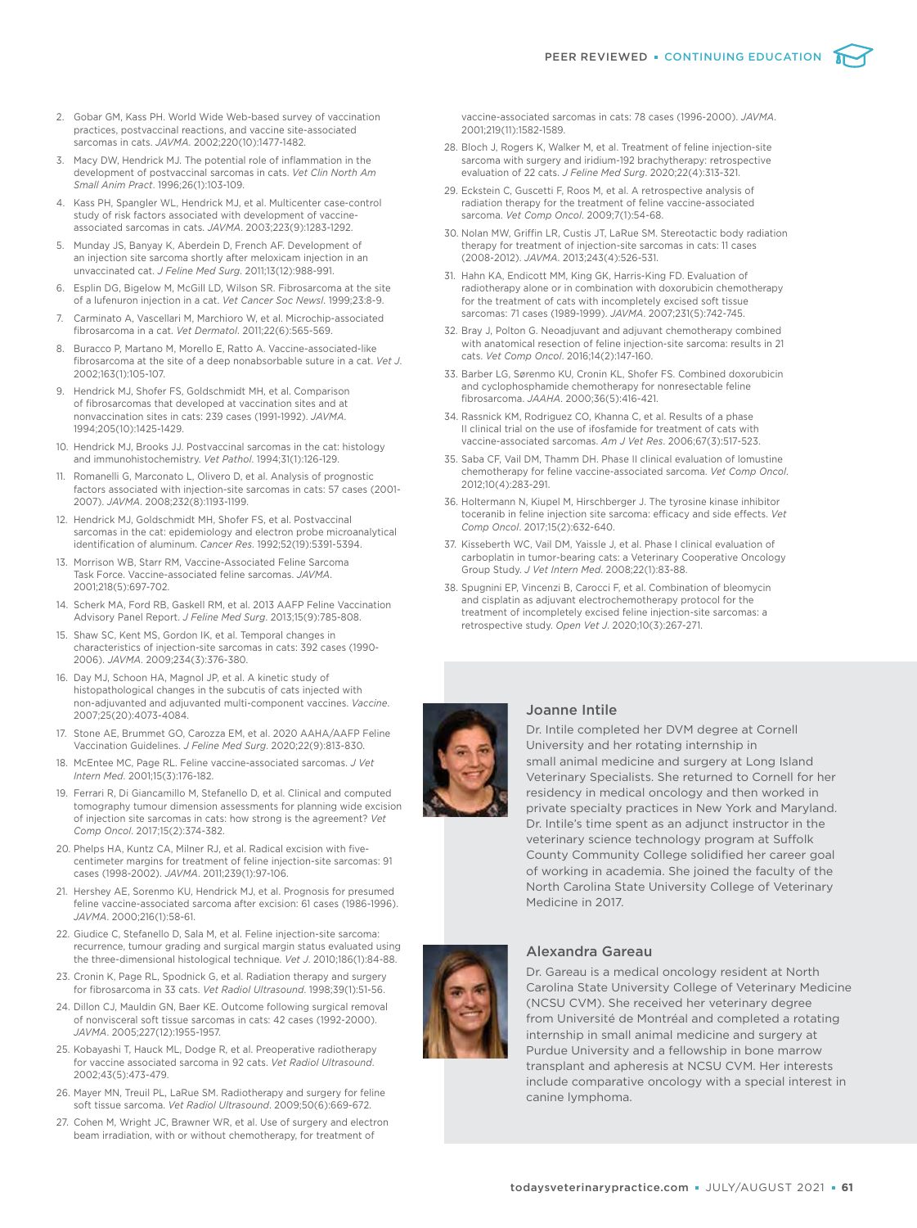- 2. Gobar GM, Kass PH. World Wide Web-based survey of vaccination practices, postvaccinal reactions, and vaccine site-associated sarcomas in cats. *JAVMA*. 2002;220(10):1477-1482.
- 3. Macy DW, Hendrick MJ. The potential role of inflammation in the development of postvaccinal sarcomas in cats. *Vet Clin North Am Small Anim Pract*. 1996;26(1):103-109.
- 4. Kass PH, Spangler WL, Hendrick MJ, et al. Multicenter case-control study of risk factors associated with development of vaccineassociated sarcomas in cats. *JAVMA*. 2003;223(9):1283-1292.
- Munday JS, Banyay K, Aberdein D, French AF. Development of an injection site sarcoma shortly after meloxicam injection in an unvaccinated cat. *J Feline Med Surg*. 2011;13(12):988-991.
- 6. Esplin DG, Bigelow M, McGill LD, Wilson SR. Fibrosarcoma at the site of a lufenuron injection in a cat. *Vet Cancer Soc Newsl*. 1999;23:8-9.
- 7. Carminato A, Vascellari M, Marchioro W, et al. Microchip-associated fibrosarcoma in a cat. *Vet Dermatol*. 2011;22(6):565-569.
- 8. Buracco P, Martano M, Morello E, Ratto A. Vaccine-associated-like fibrosarcoma at the site of a deep nonabsorbable suture in a cat. *Vet J*. 2002;163(1):105-107.
- 9. Hendrick MJ, Shofer FS, Goldschmidt MH, et al. Comparison of fibrosarcomas that developed at vaccination sites and at nonvaccination sites in cats: 239 cases (1991-1992). *JAVMA*. 1994;205(10):1425-1429.
- 10. Hendrick MJ, Brooks JJ. Postvaccinal sarcomas in the cat: histology and immunohistochemistry. *Vet Pathol*. 1994;31(1):126-129.
- 11. Romanelli G, Marconato L, Olivero D, et al. Analysis of prognostic factors associated with injection-site sarcomas in cats: 57 cases (2001- 2007). *JAVMA*. 2008;232(8):1193-1199.
- 12. Hendrick MJ, Goldschmidt MH, Shofer FS, et al. Postvaccinal sarcomas in the cat: epidemiology and electron probe microanalytical identification of aluminum. *Cancer Res*. 1992;52(19):5391-5394.
- 13. Morrison WB, Starr RM, Vaccine-Associated Feline Sarcoma Task Force. Vaccine-associated feline sarcomas. *JAVMA*. 2001;218(5):697-702.
- 14. Scherk MA, Ford RB, Gaskell RM, et al. 2013 AAFP Feline Vaccination Advisory Panel Report. *J Feline Med Surg*. 2013;15(9):785-808.
- 15. Shaw SC, Kent MS, Gordon IK, et al. Temporal changes in characteristics of injection-site sarcomas in cats: 392 cases (1990- 2006). *JAVMA*. 2009;234(3):376-380.
- 16. Day MJ, Schoon HA, Magnol JP, et al. A kinetic study of histopathological changes in the subcutis of cats injected with non-adjuvanted and adjuvanted multi-component vaccines. *Vaccine*. 2007;25(20):4073-4084.
- 17. Stone AE, Brummet GO, Carozza EM, et al. 2020 AAHA/AAFP Feline Vaccination Guidelines. *J Feline Med Surg*. 2020;22(9):813-830.
- 18. McEntee MC, Page RL. Feline vaccine-associated sarcomas. *J Vet Intern Med*. 2001;15(3):176-182.
- 19. Ferrari R, Di Giancamillo M, Stefanello D, et al. Clinical and computed tomography tumour dimension assessments for planning wide excision of injection site sarcomas in cats: how strong is the agreement? *Vet Comp Oncol*. 2017;15(2):374-382.
- 20. Phelps HA, Kuntz CA, Milner RJ, et al. Radical excision with fivecentimeter margins for treatment of feline injection-site sarcomas: 91 cases (1998-2002). *JAVMA*. 2011;239(1):97-106.
- 21. Hershey AE, Sorenmo KU, Hendrick MJ, et al. Prognosis for presumed feline vaccine-associated sarcoma after excision: 61 cases (1986-1996). *JAVMA*. 2000;216(1):58-61.
- 22. Giudice C, Stefanello D, Sala M, et al. Feline injection-site sarcoma: recurrence, tumour grading and surgical margin status evaluated using the three-dimensional histological technique. *Vet J*. 2010;186(1):84-88.
- 23. Cronin K, Page RL, Spodnick G, et al. Radiation therapy and surgery for fibrosarcoma in 33 cats. *Vet Radiol Ultrasound*. 1998;39(1):51-56.
- 24. Dillon CJ, Mauldin GN, Baer KE. Outcome following surgical removal of nonvisceral soft tissue sarcomas in cats: 42 cases (1992-2000). *JAVMA*. 2005;227(12):1955-1957.
- 25. Kobayashi T, Hauck ML, Dodge R, et al. Preoperative radiotherapy for vaccine associated sarcoma in 92 cats. *Vet Radiol Ultrasound*. 2002;43(5):473-479.
- 26. Mayer MN, Treuil PL, LaRue SM. Radiotherapy and surgery for feline soft tissue sarcoma. *Vet Radiol Ultrasound*. 2009;50(6):669-672.
- 27. Cohen M, Wright JC, Brawner WR, et al. Use of surgery and electron beam irradiation, with or without chemotherapy, for treatment of

vaccine-associated sarcomas in cats: 78 cases (1996-2000). *JAVMA*. 2001;219(11):1582-1589.

- 28. Bloch J, Rogers K, Walker M, et al. Treatment of feline injection-site sarcoma with surgery and iridium-192 brachytherapy: retrospective evaluation of 22 cats. *J Feline Med Surg*. 2020;22(4):313-321.
- 29. Eckstein C, Guscetti F, Roos M, et al. A retrospective analysis of radiation therapy for the treatment of feline vaccine-associated sarcoma. *Vet Comp Oncol*. 2009;7(1):54-68.
- 30. Nolan MW, Griffin LR, Custis JT, LaRue SM. Stereotactic body radiation therapy for treatment of injection-site sarcomas in cats: 11 cases (2008-2012). *JAVMA*. 2013;243(4):526-531.
- 31. Hahn KA, Endicott MM, King GK, Harris-King FD. Evaluation of radiotherapy alone or in combination with doxorubicin chemotherapy for the treatment of cats with incompletely excised soft tissue sarcomas: 71 cases (1989-1999). *JAVMA*. 2007;231(5):742-745.
- 32. Bray J, Polton G. Neoadjuvant and adjuvant chemotherapy combined with anatomical resection of feline injection-site sarcoma: results in 21 cats. *Vet Comp Oncol*. 2016;14(2):147-160.
- 33. Barber LG, Sørenmo KU, Cronin KL, Shofer FS. Combined doxorubicin and cyclophosphamide chemotherapy for nonresectable feline fibrosarcoma. *JAAHA*. 2000;36(5):416-421.
- 34. Rassnick KM, Rodriguez CO, Khanna C, et al. Results of a phase II clinical trial on the use of ifosfamide for treatment of cats with vaccine-associated sarcomas. *Am J Vet Res*. 2006;67(3):517-523.
- 35. Saba CF, Vail DM, Thamm DH. Phase II clinical evaluation of lomustine chemotherapy for feline vaccine-associated sarcoma. *Vet Comp Oncol*. 2012;10(4):283-291.
- 36. Holtermann N, Kiupel M, Hirschberger J. The tyrosine kinase inhibitor toceranib in feline injection site sarcoma: efficacy and side effects. *Vet Comp Oncol*. 2017;15(2):632-640.
- 37. Kisseberth WC, Vail DM, Yaissle J, et al. Phase I clinical evaluation of carboplatin in tumor-bearing cats: a Veterinary Cooperative Oncology Group Study. *J Vet Intern Med*. 2008;22(1):83-88.
- 38. Spugnini EP, Vincenzi B, Carocci F, et al. Combination of bleomycin and cisplatin as adjuvant electrochemotherapy protocol for the treatment of incompletely excised feline injection-site sarcomas: a retrospective study. *Open Vet J*. 2020;10(3):267-271.



#### Joanne Intile

Dr. Intile completed her DVM degree at Cornell University and her rotating internship in small animal medicine and surgery at Long Island Veterinary Specialists. She returned to Cornell for her residency in medical oncology and then worked in private specialty practices in New York and Maryland. Dr. Intile's time spent as an adjunct instructor in the veterinary science technology program at Suffolk County Community College solidified her career goal of working in academia. She joined the faculty of the North Carolina State University College of Veterinary Medicine in 2017.

# Alexandra Gareau

Dr. Gareau is a medical oncology resident at North Carolina State University College of Veterinary Medicine (NCSU CVM). She received her veterinary degree from Université de Montréal and completed a rotating internship in small animal medicine and surgery at Purdue University and a fellowship in bone marrow transplant and apheresis at NCSU CVM. Her interests include comparative oncology with a special interest in canine lymphoma.

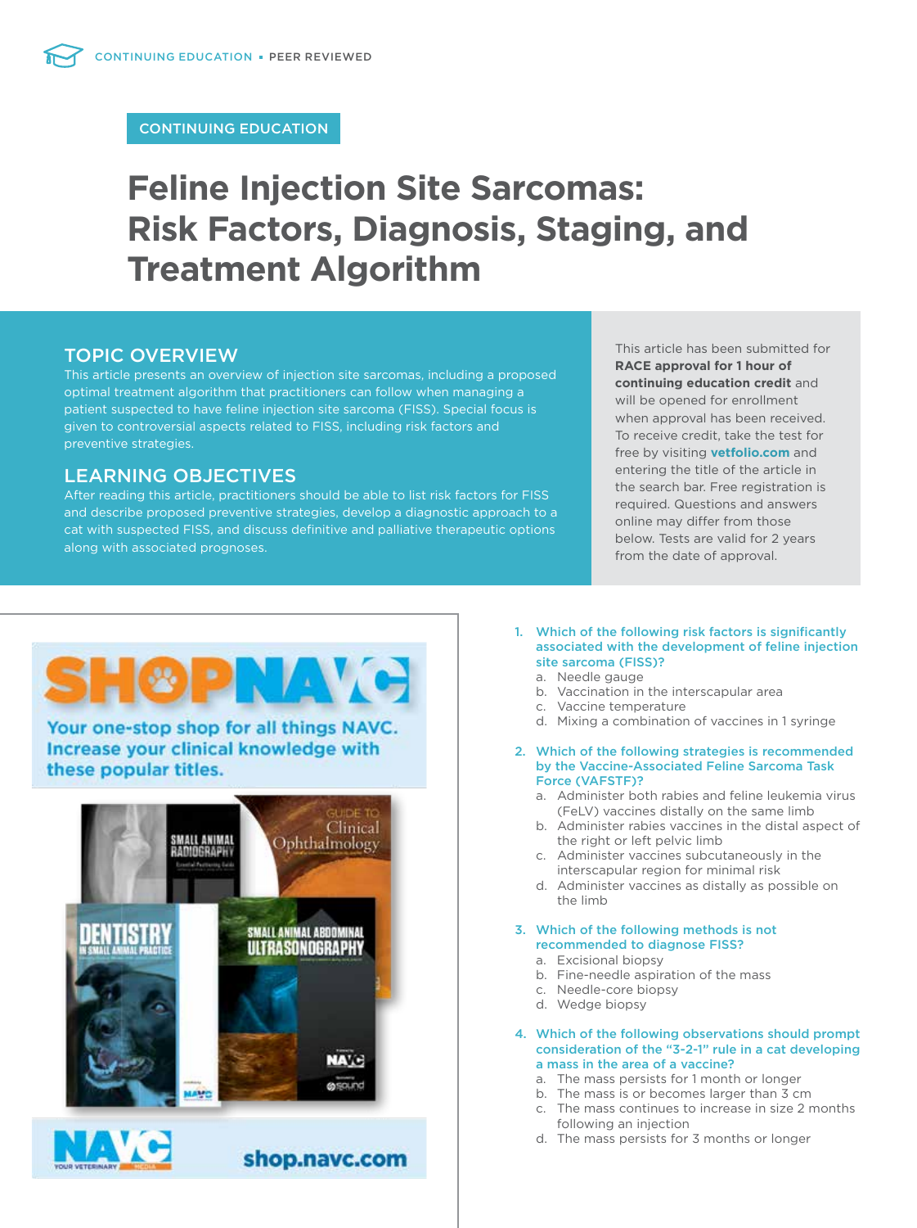# CONTINUING EDUCATION

# **Feline Injection Site Sarcomas: Risk Factors, Diagnosis, Staging, and Treatment Algorithm**

# TOPIC OVERVIEW

This article presents an overview of injection site sarcomas, including a proposed optimal treatment algorithm that practitioners can follow when managing a patient suspected to have feline injection site sarcoma (FISS). Special focus is given to controversial aspects related to FISS, including risk factors and preventive strategies.

# LEARNING OBJECTIVES

After reading this article, practitioners should be able to list risk factors for FISS and describe proposed preventive strategies, develop a diagnostic approach to a cat with suspected FISS, and discuss definitive and palliative therapeutic options along with associated prognoses.

This article has been submitted for **RACE approval for 1 hour of continuing education credit** and will be opened for enrollment when approval has been received. To receive credit, take the test for free by visiting **vetfolio.com** and entering the title of the article in the search bar. Free registration is required. Questions and answers online may differ from those below. Tests are valid for 2 years from the date of approval.

# GD VA Your one-stop shop for all things NAVC. Increase your clinical knowledge with these popular titles. Clinical **SMALL ANIMAL** Ophthalmology RADIOGRAPH) SMALL ANIMAL ABDOMINAL ULTRASONOGRAPHY



shop.navc.com



- 1. Which of the following risk factors is significantly associated with the development of feline injection site sarcoma (FISS)?
	- a. Needle gauge
	- b. Vaccination in the interscapular area
	- c. Vaccine temperature
	- d. Mixing a combination of vaccines in 1 syringe
- 2. Which of the following strategies is recommended by the Vaccine-Associated Feline Sarcoma Task Force (VAFSTF)?
	- a. Administer both rabies and feline leukemia virus (FeLV) vaccines distally on the same limb
	- b. Administer rabies vaccines in the distal aspect of the right or left pelvic limb
	- c. Administer vaccines subcutaneously in the interscapular region for minimal risk
	- d. Administer vaccines as distally as possible on the limb

#### 3. Which of the following methods is not recommended to diagnose FISS?

- a. Excisional biopsy
- b. Fine-needle aspiration of the mass
- c. Needle-core biopsy
- d. Wedge biopsy
- 4. Which of the following observations should prompt consideration of the "3-2-1" rule in a cat developing a mass in the area of a vaccine?
	- a. The mass persists for 1 month or longer
	- b. The mass is or becomes larger than 3 cm
	- c. The mass continues to increase in size 2 months following an injection
	- d. The mass persists for 3 months or longer